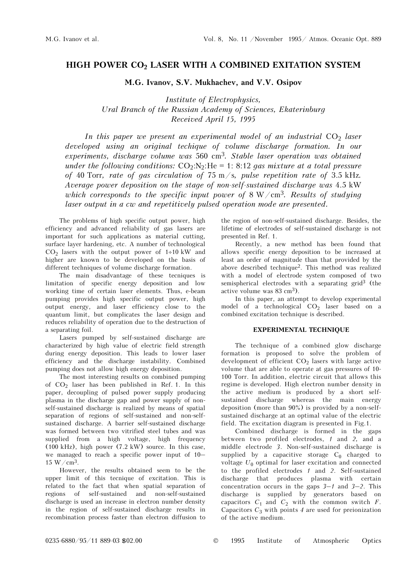## **HIGH POWER CO2 LASER WITH A COMBINED EXITATION SYSTEM**

**M.G. Ivanov, S.V. Mukhachev, and V.V. Osipov** 

*Institute of Electrophysics, Ural Branch of the Russian Academy of Sciences, Ekaterinburg Received April 15, 1995* 

*In this paper we present an experimental model of an industrial CO<sub>2</sub> laser developed using an original techique of volume discharge formation. In our experiments, discharge volume was* 560 cm3*. Stable laser operation was obtained under the following conditions:*  $CO_2:N_2:He = 1: 8:12$  gas mixture at a total pressure *of* 40 Torr*, rate of gas circulation of* 75 m/s*, pulse repetition rate of* 3.5 kHz*. Average power deposition on the stage of non-self-sustained discharge was* 4.5 kW *which corresponds to the specific input power of* 8 W/cm3*. Results of studying laser output in a cw and repetitively pulsed operation mode are presented.*

The problems of high specific output power, high efficiency and advanced reliability of gas lasers are important for such applications as material cutting, surface layer hardening, etc. A number of technological  $CO<sub>2</sub>$  lasers with the output power of 1÷10 kW and higher are known to be developed on the basis of different techniques of volume discharge formation.

The main disadvantage of these tecniques is limitation of specific energy deposition and low working time of certain laser elements. Thus, e-beam pumping provides high specific output power, high output energy, and laser efficiency close to the quantum limit, but complicates the laser design and reduces reliability of operation due to the destruction of a separating foil.

Lasers pumped by self-sustained discharge are characterized by high value of electric field strength during energy deposition. This leads to lower laser efficiency and the discharge instability. Combined pumping does not allow high energy deposition.

The most interesting results on combined pumping of  $CO<sub>2</sub>$  laser has been published in Ref. 1. In this paper, decoupling of pulsed power supply producing plasma in the discharge gap and power supply of nonself-sustained discharge is realized by means of spatial separation of regions of self-sustained and non-selfsustained discharge. A barrier self-sustained discharge was formed between two vitrified steel tubes and was supplied from a high voltage, high frequency (100 kHz), high power (7.2 kW) source. In this case, we managed to reach a specific power input of 10–  $15 W/cm<sup>3</sup>$ .

However, the results obtained seem to be the upper limit of this tecnique of excitation. This is related to the fact that when spatial separation of regions of self-sustained and non-self-sustained discharge is used an increase in electron number density in the region of self-sustained discharge results in recombination process faster than electron diffusion to

the region of non-self-sustained discharge. Besides, the lifetime of electrodes of self-sustained discharge is not presented in Ref. 1.

Recently, a new method has been found that allows specific energy deposition to be increased at least an order of magnitude than that provided by the above described technique2. This method was realized with a model of electrode system composed of two semispherical electrodes with a separating grid<sup>3</sup> (the active volume was 83 cm3).

In this paper, an attempt to develop experimental model of a technological  $CO<sub>2</sub>$  laser based on a combined excitation technique is described.

## **EXPERIMENTAL TECHNIQUE**

The technique of a combined glow discharge formation is proposed to solve the problem of development of efficient  $CO<sub>2</sub>$  lasers with large active volume that are able to operate at gas pressures of 10- 100 Torr. In addition, electric circuit that allows this regime is developed. High electron number density in the active medium is produced by a short selfsustained discharge whereas the main energy deposition (more than 90%) is provided by a non-selfsustained discharge at an optimal value of the electric field. The excitation diagram is presented in Fig.1.

Combined discharge is formed in the gaps between two profiled electrodes, *1* and *2,* and a middle electrode *3*. Non-self-sustained discharge is supplied by a capacitive storage  $C_0$  charged to voltage  $U_0$  optimal for laser excitation and connected to the profiled electrodes *1* and *2*. Self-sustained discharge that produces plasma with certain concentration occurs in the gaps *3*–*1* and *3*–*2*. This discharge is supplied by generators based on capacitors  $C_1$  and  $C_2$  with the common switch  $F$ . Capacitors  $C_3$  with points 4 are used for preionization of the active medium.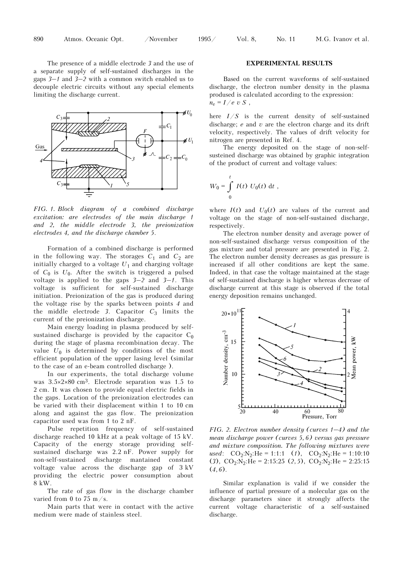The presence of a middle electrode *3* and the use of a separate supply of self-sustained discharges in the gaps *3*–*1* and *3*–*2* with a common switch enabled us to decouple electric circuits without any special elements limiting the discharge current.



*FIG. 1. Block diagram of a combined discharge excitation: are electrodes of the main discharge 1 and 2, the middle electrode 3, the preionization electrodes 4, and the discharge chamber 5*.

Formation of a combined discharge is performed in the following way. The storages  $C_1$  and  $C_2$  are initially charged to a voltage  $U_1$  and charging voltage of *C*0 is *U*0. After the switch is triggered a pulsed voltage is applied to the gaps *3*–*2* and *3*–*1*. This voltage is sufficient for self-sustained discharge initiation. Preionization of the gas is produced during the voltage rise by the sparks between points *4* and the middle electrode 3. Capacitor  $C_3$  limits the current of the preionization discharge.

Main energy loading in plasma produced by selfsustained discharge is provided by the capacitor  $C_0$ during the stage of plasma recombination decay. The value  $U_0$  is determined by conditions of the most efficient population of the upper lasing level (similar to the case of an e-beam controlled discharge ).

In our experiments, the total discharge volume was 3.5×2×80 cm3. Electrode separation was 1.5 to 2 cm. It was chosen to provide equal electric fields in the gaps. Location of the preionization electrodes can be varied with their displacement within 1 to 10 cm along and against the gas flow. The preionization capacitor used was from 1 to 2 nF.

Pulse repetition frequency of self-sustained discharge reached 10 kHz at a peak voltage of 15 kV. Capacity of the energy storage providing selfsustained discharge was 2.2 nF. Power supply for non-self-sustained discharge mantained constant voltage value across the discharge gap of 3 kV providing the electric power consumption about 8 kW.

The rate of gas flow in the discharge chamber varied from 0 to 75 m/s.

Main parts that were in contact with the active medium were made of stainless steel.

## **EXPERIMENTAL RESULTS**

Based on the current waveforms of self-sustained discharge, the electron number density in the plasma prodused is calculated according to the expression:  $n_e = I/e v S$ ,

here *I*/*S* is the current density of self-sustained discharge; *e* and *v* are the electron charge and its drift velocity, respectively. The values of drift velocity for nitrogen are presented in Ref. 4.

The energy deposited on the stage of non-selfsusteined discharge was obtained by graphic integration of the product of current and voltage values:

$$
W_0 = \int_0^t I(t) U_0(t) dt,
$$

where  $I(t)$  and  $U_0(t)$  are values of the current and voltage on the stage of non-self-sustained discharge, respectively.

The electron number density and average power of non-self-sustained discharge versus composition of the gas mixture and total pressure are presented in Fig. 2. The electron number density decreases as gas pressure is increased if all other conditions are kept the same. Indeed, in that case the voltage maintained at the stage of self-sustained discharge is higher whereas decrease of discharge current at this stage is observed if the total energy deposition remains unchanged.



*FIG. 2. Electron number density (curves 1–4) and the mean discharge power (curves 5, 6) versus gas pressure and mixture composition. The following mixtures were used*:  $CO_2:N_2:He = 1:1:1$  (*1*),  $CO_2:N_2:He = 1:10:10$ (3),  $CO_2:N_2:H$ e = 2:15:25 (2, 5),  $CO_2:N_2:H$ e = 2:25:15  $(4, 6)$ .

Similar explanation is valid if we consider the influence of partial pressure of a molecular gas on the discharge parameters since it strongly affects the current voltage characteristic of a self-sustained discharge.